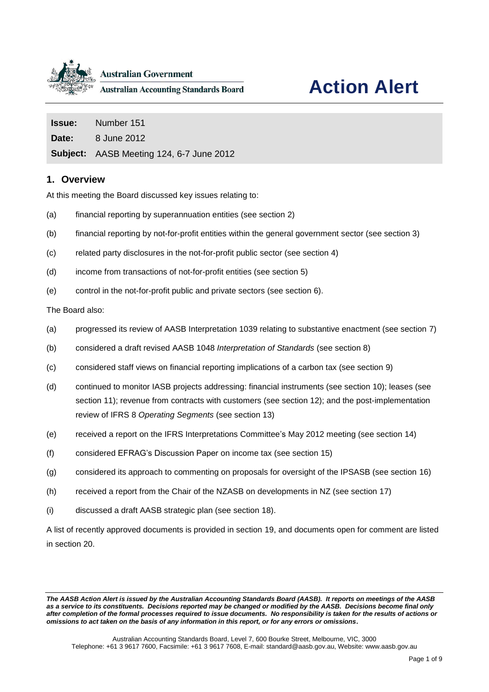

# **Action Alert**

| <b>Issue:</b> Number 151                        |
|-------------------------------------------------|
| <b>Date:</b> 8 June 2012                        |
| <b>Subject:</b> AASB Meeting 124, 6-7 June 2012 |

## **1. Overview**

At this meeting the Board discussed key issues relating to:

- (a) financial reporting by superannuation entities (see section [2\)](#page-1-0)
- (b) financial reporting by not-for-profit entities within the general government sector (see section [3\)](#page-2-0)
- (c) related party disclosures in the not-for-profit public sector (see section [4\)](#page-3-0)
- (d) income from transactions of not-for-profit entities (see section [5\)](#page-3-1)
- (e) control in the not-for-profit public and private sectors (see section [6\)](#page-4-0).

The Board also:

- (a) progressed its review of AASB Interpretation 1039 relating to substantive enactment (see section [7\)](#page-4-1)
- (b) considered a draft revised AASB 1048 *Interpretation of Standards* (see section [8\)](#page-4-2)
- (c) considered staff views on financial reporting implications of a carbon tax (see section [9\)](#page-5-0)
- (d) continued to monitor IASB projects addressing: financial instruments (see section [10\)](#page-5-1); leases (see section [11\)](#page-5-2); revenue from contracts with customers (see section [12\)](#page-5-3); and the post-implementation review of IFRS 8 *Operating Segments* (see section [13\)](#page-6-0)
- (e) received a report on the IFRS Interpretations Committee's May 2012 meeting (see section [14\)](#page-6-1)
- (f) considered EFRAG's Discussion Paper on income tax (see section [15\)](#page-6-2)
- (g) considered its approach to commenting on proposals for oversight of the IPSASB (see section [16\)](#page-6-3)
- (h) received a report from the Chair of the NZASB on developments in NZ (see section [17\)](#page-6-4)
- (i) discussed a draft AASB strategic plan (see section [18\)](#page-6-5).

A list of recently approved documents is provided in section [19,](#page-7-0) and documents open for comment are listed in section [20.](#page-7-1)

*The AASB Action Alert is issued by the Australian Accounting Standards Board (AASB). It reports on meetings of the AASB as a service to its constituents. Decisions reported may be changed or modified by the AASB. Decisions become final only after completion of the formal processes required to issue documents. No responsibility is taken for the results of actions or omissions to act taken on the basis of any information in this report, or for any errors or omissions***.**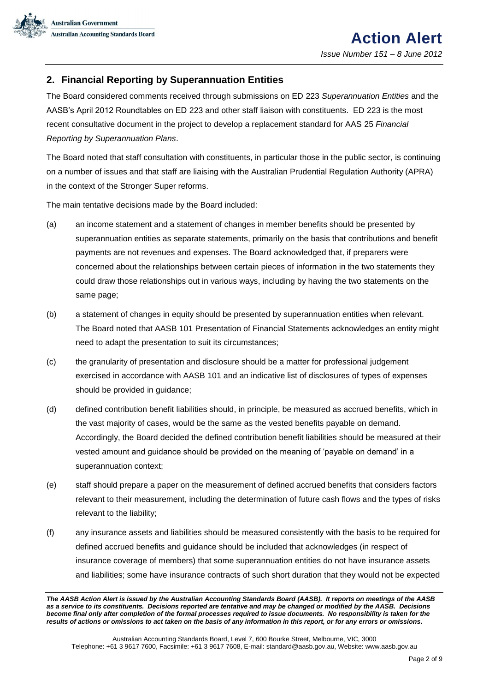

# <span id="page-1-0"></span>**2. Financial Reporting by Superannuation Entities**

The Board considered comments received through submissions on ED 223 *Superannuation Entities* and the AASB's April 2012 Roundtables on ED 223 and other staff liaison with constituents. ED 223 is the most recent consultative document in the project to develop a replacement standard for AAS 25 *Financial Reporting by Superannuation Plans*.

The Board noted that staff consultation with constituents, in particular those in the public sector, is continuing on a number of issues and that staff are liaising with the Australian Prudential Regulation Authority (APRA) in the context of the Stronger Super reforms.

The main tentative decisions made by the Board included:

- (a) an income statement and a statement of changes in member benefits should be presented by superannuation entities as separate statements, primarily on the basis that contributions and benefit payments are not revenues and expenses. The Board acknowledged that, if preparers were concerned about the relationships between certain pieces of information in the two statements they could draw those relationships out in various ways, including by having the two statements on the same page;
- (b) a statement of changes in equity should be presented by superannuation entities when relevant. The Board noted that AASB 101 Presentation of Financial Statements acknowledges an entity might need to adapt the presentation to suit its circumstances;
- (c) the granularity of presentation and disclosure should be a matter for professional judgement exercised in accordance with AASB 101 and an indicative list of disclosures of types of expenses should be provided in guidance;
- (d) defined contribution benefit liabilities should, in principle, be measured as accrued benefits, which in the vast majority of cases, would be the same as the vested benefits payable on demand. Accordingly, the Board decided the defined contribution benefit liabilities should be measured at their vested amount and guidance should be provided on the meaning of 'payable on demand' in a superannuation context;
- (e) staff should prepare a paper on the measurement of defined accrued benefits that considers factors relevant to their measurement, including the determination of future cash flows and the types of risks relevant to the liability;
- (f) any insurance assets and liabilities should be measured consistently with the basis to be required for defined accrued benefits and guidance should be included that acknowledges (in respect of insurance coverage of members) that some superannuation entities do not have insurance assets and liabilities; some have insurance contracts of such short duration that they would not be expected

*The AASB Action Alert is issued by the Australian Accounting Standards Board (AASB). It reports on meetings of the AASB as a service to its constituents. Decisions reported are tentative and may be changed or modified by the AASB. Decisions become final only after completion of the formal processes required to issue documents. No responsibility is taken for the results of actions or omissions to act taken on the basis of any information in this report, or for any errors or omissions***.**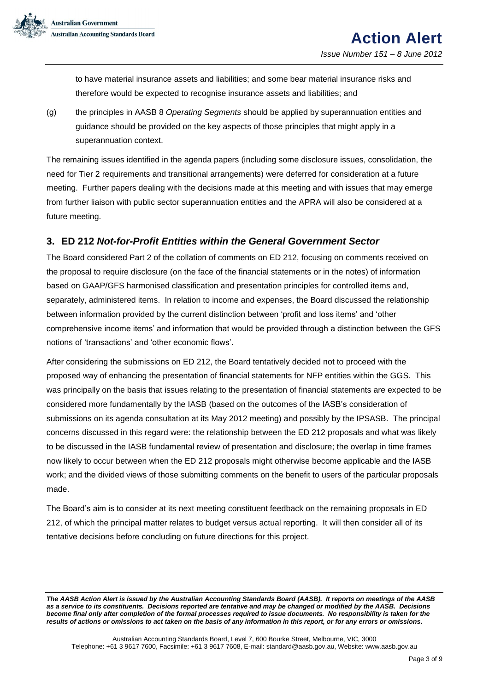

to have material insurance assets and liabilities; and some bear material insurance risks and therefore would be expected to recognise insurance assets and liabilities; and

(g) the principles in AASB 8 *Operating Segments* should be applied by superannuation entities and guidance should be provided on the key aspects of those principles that might apply in a superannuation context.

The remaining issues identified in the agenda papers (including some disclosure issues, consolidation, the need for Tier 2 requirements and transitional arrangements) were deferred for consideration at a future meeting. Further papers dealing with the decisions made at this meeting and with issues that may emerge from further liaison with public sector superannuation entities and the APRA will also be considered at a future meeting.

## <span id="page-2-0"></span>**3. ED 212** *Not-for-Profit Entities within the General Government Sector*

The Board considered Part 2 of the collation of comments on ED 212, focusing on comments received on the proposal to require disclosure (on the face of the financial statements or in the notes) of information based on GAAP/GFS harmonised classification and presentation principles for controlled items and, separately, administered items. In relation to income and expenses, the Board discussed the relationship between information provided by the current distinction between 'profit and loss items' and 'other comprehensive income items' and information that would be provided through a distinction between the GFS notions of 'transactions' and 'other economic flows'.

After considering the submissions on ED 212, the Board tentatively decided not to proceed with the proposed way of enhancing the presentation of financial statements for NFP entities within the GGS. This was principally on the basis that issues relating to the presentation of financial statements are expected to be considered more fundamentally by the IASB (based on the outcomes of the IASB's consideration of submissions on its agenda consultation at its May 2012 meeting) and possibly by the IPSASB. The principal concerns discussed in this regard were: the relationship between the ED 212 proposals and what was likely to be discussed in the IASB fundamental review of presentation and disclosure; the overlap in time frames now likely to occur between when the ED 212 proposals might otherwise become applicable and the IASB work; and the divided views of those submitting comments on the benefit to users of the particular proposals made.

The Board's aim is to consider at its next meeting constituent feedback on the remaining proposals in ED 212, of which the principal matter relates to budget versus actual reporting. It will then consider all of its tentative decisions before concluding on future directions for this project.

*The AASB Action Alert is issued by the Australian Accounting Standards Board (AASB). It reports on meetings of the AASB as a service to its constituents. Decisions reported are tentative and may be changed or modified by the AASB. Decisions become final only after completion of the formal processes required to issue documents. No responsibility is taken for the results of actions or omissions to act taken on the basis of any information in this report, or for any errors or omissions***.**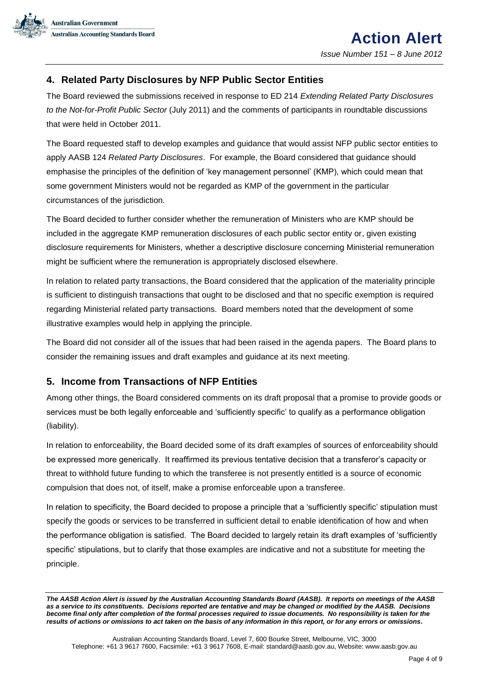

## <span id="page-3-0"></span>**4. Related Party Disclosures by NFP Public Sector Entities**

The Board reviewed the submissions received in response to ED 214 *Extending Related Party Disclosures to the Not-for-Profit Public Sector* (July 2011) and the comments of participants in roundtable discussions that were held in October 2011.

The Board requested staff to develop examples and guidance that would assist NFP public sector entities to apply AASB 124 *Related Party Disclosures*. For example, the Board considered that guidance should emphasise the principles of the definition of 'key management personnel' (KMP), which could mean that some government Ministers would not be regarded as KMP of the government in the particular circumstances of the jurisdiction.

The Board decided to further consider whether the remuneration of Ministers who are KMP should be included in the aggregate KMP remuneration disclosures of each public sector entity or, given existing disclosure requirements for Ministers, whether a descriptive disclosure concerning Ministerial remuneration might be sufficient where the remuneration is appropriately disclosed elsewhere.

In relation to related party transactions, the Board considered that the application of the materiality principle is sufficient to distinguish transactions that ought to be disclosed and that no specific exemption is required regarding Ministerial related party transactions. Board members noted that the development of some illustrative examples would help in applying the principle.

The Board did not consider all of the issues that had been raised in the agenda papers. The Board plans to consider the remaining issues and draft examples and guidance at its next meeting.

## <span id="page-3-1"></span>**5. Income from Transactions of NFP Entities**

Among other things, the Board considered comments on its draft proposal that a promise to provide goods or services must be both legally enforceable and 'sufficiently specific' to qualify as a performance obligation (liability).

In relation to enforceability, the Board decided some of its draft examples of sources of enforceability should be expressed more generically. It reaffirmed its previous tentative decision that a transferor's capacity or threat to withhold future funding to which the transferee is not presently entitled is a source of economic compulsion that does not, of itself, make a promise enforceable upon a transferee.

In relation to specificity, the Board decided to propose a principle that a 'sufficiently specific' stipulation must specify the goods or services to be transferred in sufficient detail to enable identification of how and when the performance obligation is satisfied. The Board decided to largely retain its draft examples of 'sufficiently specific' stipulations, but to clarify that those examples are indicative and not a substitute for meeting the principle.

*The AASB Action Alert is issued by the Australian Accounting Standards Board (AASB). It reports on meetings of the AASB as a service to its constituents. Decisions reported are tentative and may be changed or modified by the AASB. Decisions become final only after completion of the formal processes required to issue documents. No responsibility is taken for the results of actions or omissions to act taken on the basis of any information in this report, or for any errors or omissions***.**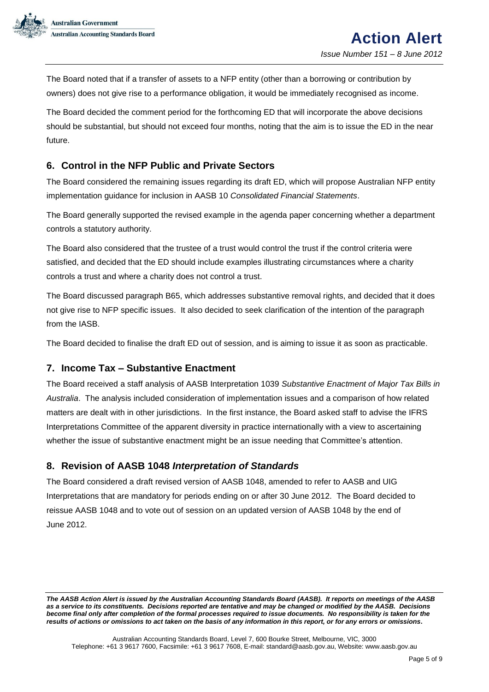

The Board noted that if a transfer of assets to a NFP entity (other than a borrowing or contribution by owners) does not give rise to a performance obligation, it would be immediately recognised as income.

The Board decided the comment period for the forthcoming ED that will incorporate the above decisions should be substantial, but should not exceed four months, noting that the aim is to issue the ED in the near future.

# <span id="page-4-0"></span>**6. Control in the NFP Public and Private Sectors**

The Board considered the remaining issues regarding its draft ED, which will propose Australian NFP entity implementation guidance for inclusion in AASB 10 *Consolidated Financial Statements*.

The Board generally supported the revised example in the agenda paper concerning whether a department controls a statutory authority.

The Board also considered that the trustee of a trust would control the trust if the control criteria were satisfied, and decided that the ED should include examples illustrating circumstances where a charity controls a trust and where a charity does not control a trust.

The Board discussed paragraph B65, which addresses substantive removal rights, and decided that it does not give rise to NFP specific issues. It also decided to seek clarification of the intention of the paragraph from the IASB.

The Board decided to finalise the draft ED out of session, and is aiming to issue it as soon as practicable.

## <span id="page-4-1"></span>**7. Income Tax – Substantive Enactment**

The Board received a staff analysis of AASB Interpretation 1039 *Substantive Enactment of Major Tax Bills in Australia*. The analysis included consideration of implementation issues and a comparison of how related matters are dealt with in other jurisdictions. In the first instance, the Board asked staff to advise the IFRS Interpretations Committee of the apparent diversity in practice internationally with a view to ascertaining whether the issue of substantive enactment might be an issue needing that Committee's attention.

## <span id="page-4-2"></span>**8. Revision of AASB 1048** *Interpretation of Standards*

The Board considered a draft revised version of AASB 1048, amended to refer to AASB and UIG Interpretations that are mandatory for periods ending on or after 30 June 2012. The Board decided to reissue AASB 1048 and to vote out of session on an updated version of AASB 1048 by the end of June 2012.

*The AASB Action Alert is issued by the Australian Accounting Standards Board (AASB). It reports on meetings of the AASB as a service to its constituents. Decisions reported are tentative and may be changed or modified by the AASB. Decisions become final only after completion of the formal processes required to issue documents. No responsibility is taken for the results of actions or omissions to act taken on the basis of any information in this report, or for any errors or omissions***.**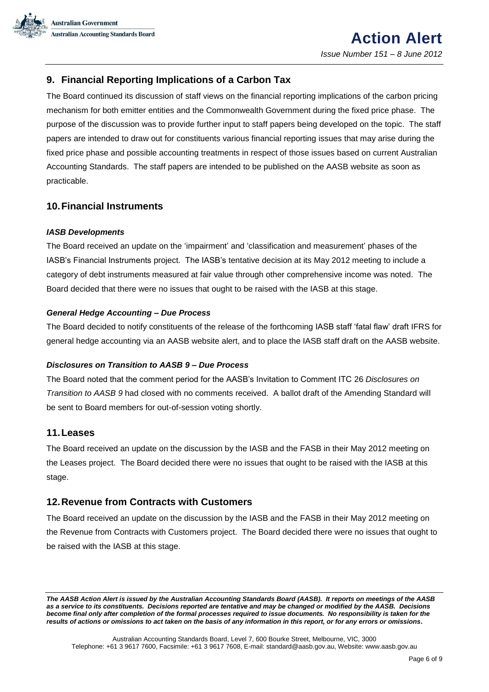

# <span id="page-5-0"></span>**9. Financial Reporting Implications of a Carbon Tax**

The Board continued its discussion of staff views on the financial reporting implications of the carbon pricing mechanism for both emitter entities and the Commonwealth Government during the fixed price phase. The purpose of the discussion was to provide further input to staff papers being developed on the topic. The staff papers are intended to draw out for constituents various financial reporting issues that may arise during the fixed price phase and possible accounting treatments in respect of those issues based on current Australian Accounting Standards. The staff papers are intended to be published on the AASB website as soon as practicable.

## <span id="page-5-1"></span>**10.Financial Instruments**

#### *IASB Developments*

The Board received an update on the 'impairment' and 'classification and measurement' phases of the IASB's Financial Instruments project. The IASB's tentative decision at its May 2012 meeting to include a category of debt instruments measured at fair value through other comprehensive income was noted. The Board decided that there were no issues that ought to be raised with the IASB at this stage.

#### *General Hedge Accounting – Due Process*

The Board decided to notify constituents of the release of the forthcoming IASB staff 'fatal flaw' draft IFRS for general hedge accounting via an AASB website alert, and to place the IASB staff draft on the AASB website.

#### *Disclosures on Transition to AASB 9 – Due Process*

The Board noted that the comment period for the AASB's Invitation to Comment ITC 26 *Disclosures on Transition to AASB 9* had closed with no comments received. A ballot draft of the Amending Standard will be sent to Board members for out-of-session voting shortly.

#### <span id="page-5-2"></span>**11.Leases**

The Board received an update on the discussion by the IASB and the FASB in their May 2012 meeting on the Leases project. The Board decided there were no issues that ought to be raised with the IASB at this stage.

#### <span id="page-5-3"></span>**12.Revenue from Contracts with Customers**

The Board received an update on the discussion by the IASB and the FASB in their May 2012 meeting on the Revenue from Contracts with Customers project. The Board decided there were no issues that ought to be raised with the IASB at this stage.

*The AASB Action Alert is issued by the Australian Accounting Standards Board (AASB). It reports on meetings of the AASB as a service to its constituents. Decisions reported are tentative and may be changed or modified by the AASB. Decisions become final only after completion of the formal processes required to issue documents. No responsibility is taken for the results of actions or omissions to act taken on the basis of any information in this report, or for any errors or omissions***.**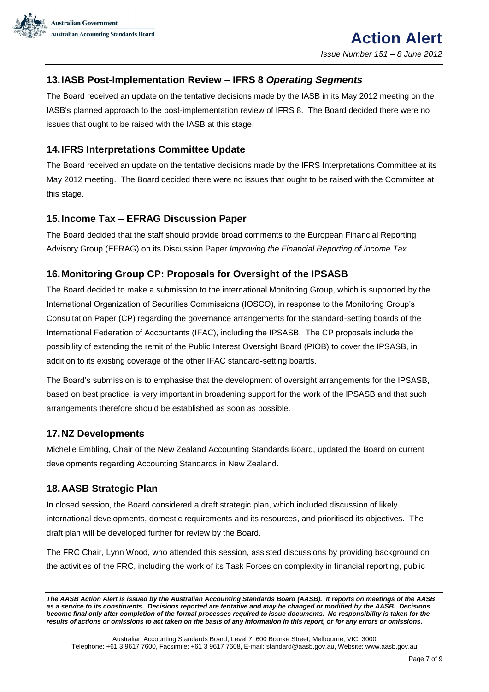

## <span id="page-6-0"></span>**13.IASB Post-Implementation Review – IFRS 8** *Operating Segments*

The Board received an update on the tentative decisions made by the IASB in its May 2012 meeting on the IASB's planned approach to the post-implementation review of IFRS 8. The Board decided there were no issues that ought to be raised with the IASB at this stage.

## <span id="page-6-1"></span>**14.IFRS Interpretations Committee Update**

The Board received an update on the tentative decisions made by the IFRS Interpretations Committee at its May 2012 meeting. The Board decided there were no issues that ought to be raised with the Committee at this stage.

## <span id="page-6-2"></span>**15.Income Tax – EFRAG Discussion Paper**

The Board decided that the staff should provide broad comments to the European Financial Reporting Advisory Group (EFRAG) on its Discussion Paper *Improving the Financial Reporting of Income Tax.*

## <span id="page-6-3"></span>**16.Monitoring Group CP: Proposals for Oversight of the IPSASB**

The Board decided to make a submission to the international Monitoring Group, which is supported by the International Organization of Securities Commissions (IOSCO), in response to the Monitoring Group's Consultation Paper (CP) regarding the governance arrangements for the standard-setting boards of the International Federation of Accountants (IFAC), including the IPSASB. The CP proposals include the possibility of extending the remit of the Public Interest Oversight Board (PIOB) to cover the IPSASB, in addition to its existing coverage of the other IFAC standard-setting boards.

The Board's submission is to emphasise that the development of oversight arrangements for the IPSASB, based on best practice, is very important in broadening support for the work of the IPSASB and that such arrangements therefore should be established as soon as possible.

#### <span id="page-6-4"></span>**17.NZ Developments**

Michelle Embling, Chair of the New Zealand Accounting Standards Board, updated the Board on current developments regarding Accounting Standards in New Zealand.

## <span id="page-6-5"></span>**18.AASB Strategic Plan**

In closed session, the Board considered a draft strategic plan, which included discussion of likely international developments, domestic requirements and its resources, and prioritised its objectives. The draft plan will be developed further for review by the Board.

The FRC Chair, Lynn Wood, who attended this session, assisted discussions by providing background on the activities of the FRC, including the work of its Task Forces on complexity in financial reporting, public

Australian Accounting Standards Board, Level 7, 600 Bourke Street, Melbourne, VIC, 3000 Telephone: +61 3 9617 7600, Facsimile: +61 3 9617 7608, E-mail: standard@aasb.gov.au, Website: www.aasb.gov.au

*The AASB Action Alert is issued by the Australian Accounting Standards Board (AASB). It reports on meetings of the AASB as a service to its constituents. Decisions reported are tentative and may be changed or modified by the AASB. Decisions become final only after completion of the formal processes required to issue documents. No responsibility is taken for the results of actions or omissions to act taken on the basis of any information in this report, or for any errors or omissions***.**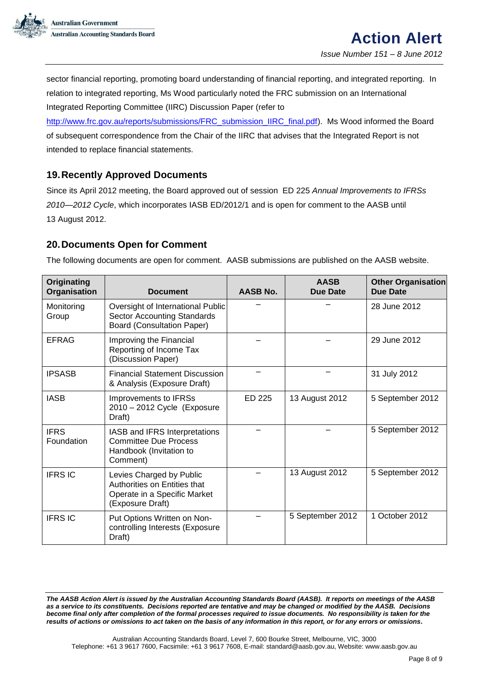

sector financial reporting, promoting board understanding of financial reporting, and integrated reporting. In relation to integrated reporting, Ms Wood particularly noted the FRC submission on an International Integrated Reporting Committee (IIRC) Discussion Paper (refer to

[http://www.frc.gov.au/reports/submissions/FRC\\_submission\\_IIRC\\_final.pdf\)](http://www.frc.gov.au/reports/submissions/FRC_submission_IIRC_final.pdf). Ms Wood informed the Board of subsequent correspondence from the Chair of the IIRC that advises that the Integrated Report is not intended to replace financial statements.

## <span id="page-7-0"></span>**19.Recently Approved Documents**

Since its April 2012 meeting, the Board approved out of session ED 225 *Annual Improvements to IFRSs 2010—2012 Cycle*, which incorporates IASB ED/2012/1 and is open for comment to the AASB until 13 August 2012.

# <span id="page-7-1"></span>**20.Documents Open for Comment**

The following documents are open for comment. AASB submissions are published on the AASB website.

| Originating<br>Organisation | <b>Document</b>                                                                                              | <b>AASB No.</b> | <b>AASB</b><br>Due Date | <b>Other Organisation</b><br><b>Due Date</b> |
|-----------------------------|--------------------------------------------------------------------------------------------------------------|-----------------|-------------------------|----------------------------------------------|
| Monitoring<br>Group         | Oversight of International Public<br><b>Sector Accounting Standards</b><br><b>Board (Consultation Paper)</b> |                 |                         | 28 June 2012                                 |
| <b>EFRAG</b>                | Improving the Financial<br>Reporting of Income Tax<br>(Discussion Paper)                                     |                 |                         | 29 June 2012                                 |
| <b>IPSASB</b>               | <b>Financial Statement Discussion</b><br>& Analysis (Exposure Draft)                                         |                 |                         | 31 July 2012                                 |
| <b>IASB</b>                 | Improvements to IFRSs<br>2010 - 2012 Cycle (Exposure<br>Draft)                                               | ED 225          | 13 August 2012          | 5 September 2012                             |
| <b>IFRS</b><br>Foundation   | IASB and IFRS Interpretations<br><b>Committee Due Process</b><br>Handbook (Invitation to<br>Comment)         |                 |                         | 5 September 2012                             |
| <b>IFRS IC</b>              | Levies Charged by Public<br>Authorities on Entities that<br>Operate in a Specific Market<br>(Exposure Draft) |                 | 13 August 2012          | 5 September 2012                             |
| <b>IFRS IC</b>              | Put Options Written on Non-<br>controlling Interests (Exposure<br>Draft)                                     |                 | 5 September 2012        | 1 October 2012                               |

*The AASB Action Alert is issued by the Australian Accounting Standards Board (AASB). It reports on meetings of the AASB as a service to its constituents. Decisions reported are tentative and may be changed or modified by the AASB. Decisions become final only after completion of the formal processes required to issue documents. No responsibility is taken for the results of actions or omissions to act taken on the basis of any information in this report, or for any errors or omissions***.**